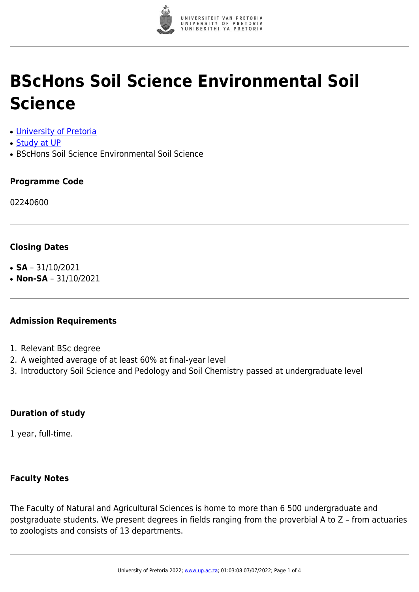

## **BScHons Soil Science Environmental Soil Science**

- [University of Pretoria](https://www.up.ac.za/home)
- [Study at UP](https://www.up.ac.za/programmes)
- BScHons Soil Science Environmental Soil Science

### **Programme Code**

02240600

#### **Closing Dates**

- $\cdot$  **SA** 31/10/2021
- $\cdot$  **Non-SA** 31/10/2021

#### **Admission Requirements**

- 1. Relevant BSc degree
- 2. A weighted average of at least 60% at final-year level
- 3. Introductory Soil Science and Pedology and Soil Chemistry passed at undergraduate level

### **Duration of study**

1 year, full-time.

#### **Faculty Notes**

The Faculty of Natural and Agricultural Sciences is home to more than 6 500 undergraduate and postgraduate students. We present degrees in fields ranging from the proverbial A to Z – from actuaries to zoologists and consists of 13 departments.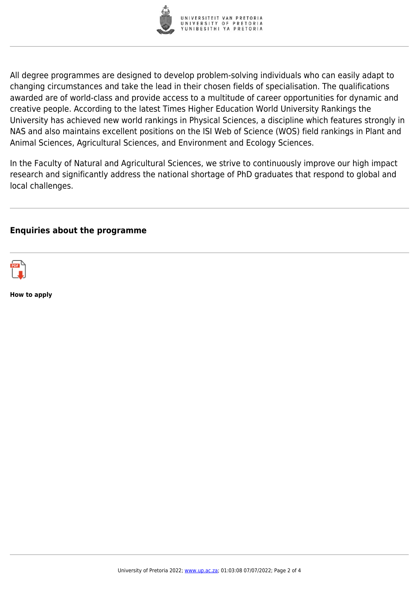

All degree programmes are designed to develop problem-solving individuals who can easily adapt to changing circumstances and take the lead in their chosen fields of specialisation. The qualifications awarded are of world-class and provide access to a multitude of career opportunities for dynamic and creative people. According to the latest Times Higher Education World University Rankings the University has achieved new world rankings in Physical Sciences, a discipline which features strongly in NAS and also maintains excellent positions on the ISI Web of Science (WOS) field rankings in Plant and Animal Sciences, Agricultural Sciences, and Environment and Ecology Sciences.

In the Faculty of Natural and Agricultural Sciences, we strive to continuously improve our high impact research and significantly address the national shortage of PhD graduates that respond to global and local challenges.

#### **Enquiries about the programme**



**How to apply**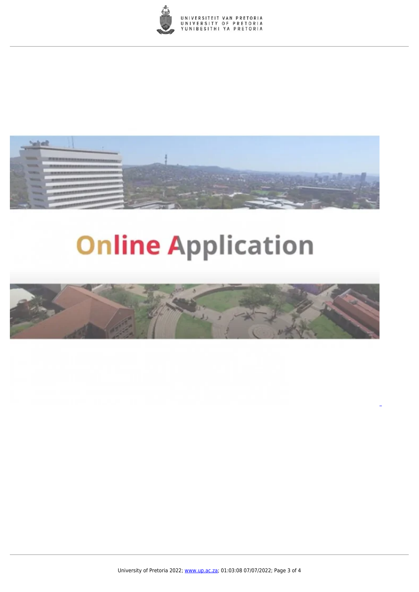



# **Online Application**